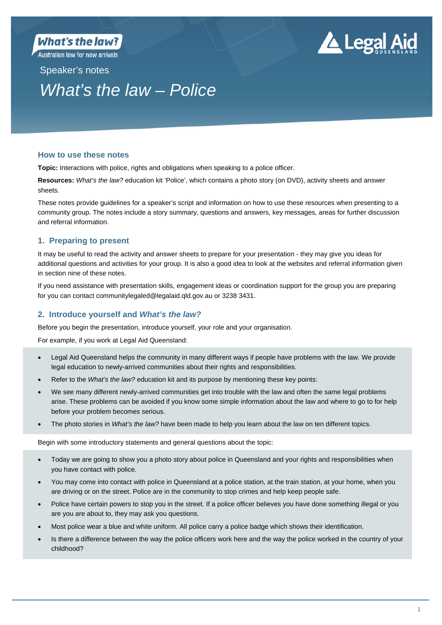Australian law for new arrivals



# Speaker's notes *What's the law – Police*

## **How to use these notes**

**Topic:** Interactions with police, rights and obligations when speaking to a police officer.

**Resources:** *What's the law?* education kit 'Police', which contains a photo story (on DVD), activity sheets and answer sheets.

These notes provide guidelines for a speaker's script and information on how to use these resources when presenting to a community group. The notes include a story summary, questions and answers, key messages, areas for further discussion and referral information.

# **1. Preparing to present**

It may be useful to read the activity and answer sheets to prepare for your presentation - they may give you ideas for additional questions and activities for your group. It is also a good idea to look at the websites and referral information given in section nine of these notes.

If you need assistance with presentation skills, engagement ideas or coordination support for the group you are preparing for you can contact communitylegaled@legalaid.qld.gov.au or 3238 3431.

# **2. Introduce yourself and** *What's the law?*

Before you begin the presentation, introduce yourself, your role and your organisation.

For example, if you work at Legal Aid Queensland:

- Legal Aid Queensland helps the community in many different ways if people have problems with the law. We provide legal education to newly-arrived communities about their rights and responsibilities.
- Refer to the *What's the law?* education kit and its purpose by mentioning these key points:
- We see many different newly-arrived communities get into trouble with the law and often the same legal problems arise. These problems can be avoided if you know some simple information about the law and where to go to for help before your problem becomes serious.
- The photo stories in *What's the law?* have been made to help you learn about the law on ten different topics.

Begin with some introductory statements and general questions about the topic:

- Today we are going to show you a photo story about police in Queensland and your rights and responsibilities when you have contact with police.
- You may come into contact with police in Queensland at a police station, at the train station, at your home, when you are driving or on the street. Police are in the community to stop crimes and help keep people safe.
- Police have certain powers to stop you in the street. If a police officer believes you have done something illegal or you are you are about to, they may ask you questions.
- Most police wear a blue and white uniform. All police carry a police badge which shows their identification.
- Is there a difference between the way the police officers work here and the way the police worked in the country of your childhood?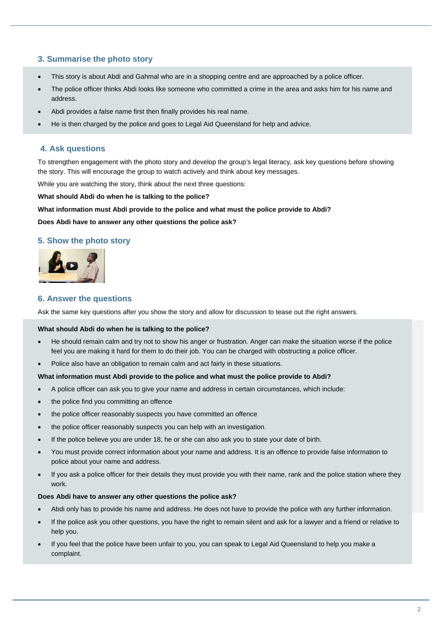## **3. Summarise the photo story**

- This story is about Abdi and Gahmal who are in a shopping centre and are approached by a police officer.
- The police officer thinks Abdi looks like someone who committed a crime in the area and asks him for his name and address.
- Abdi provides a false name first then finally provides his real name.
- He is then charged by the police and goes to Legal Aid Queensland for help and advice.

## **4. Ask questions**

To strengthen engagement with the photo story and develop the group's legal literacy, ask key questions before showing the story. This will encourage the group to watch actively and think about key messages.

While you are watching the story, think about the next three questions:

**What should Abdi do when he is talking to the police?** 

**What information must Abdi provide to the police and what must the police provide to Abdi?** 

#### **Does Abdi have to answer any other questions the police ask?**

# **5. Show the photo story**



### **6. Answer the questions**

Ask the same key questions after you show the story and allow for discussion to tease out the right answers.

#### **What should Abdi do when he is talking to the police?**

- He should remain calm and try not to show his anger or frustration. Anger can make the situation worse if the police feel you are making it hard for them to do their job. You can be charged with obstructing a police officer.
- Police also have an obligation to remain calm and act fairly in these situations.

#### **What information must Abdi provide to the police and what must the police provide to Abdi?**

- A police officer can ask you to give your name and address in certain circumstances, which include:
- the police find you committing an offence
- the police officer reasonably suspects you have committed an offence
- the police officer reasonably suspects you can help with an investigation.
- If the police believe you are under 18, he or she can also ask you to state your date of birth.
- You must provide correct information about your name and address. It is an offence to provide false information to police about your name and address.
- If you ask a police officer for their details they must provide you with their name, rank and the police station where they work.

#### **Does Abdi have to answer any other questions the police ask?**

- Abdi only has to provide his name and address. He does not have to provide the police with any further information.
- If the police ask you other questions, you have the right to remain silent and ask for a lawyer and a friend or relative to help you.
- If you feel that the police have been unfair to you, you can speak to Legal Aid Queensland to help you make a complaint.